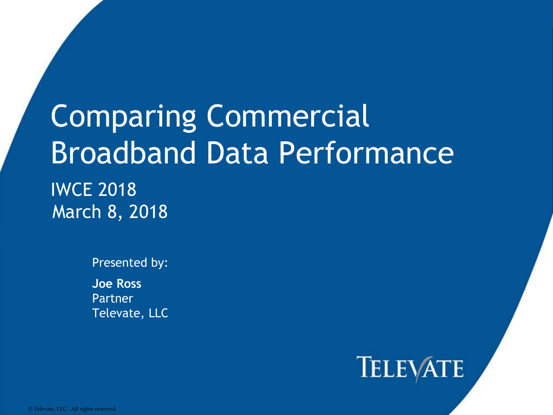#### Comparing Commercial Broadband Data Performance IWCE 2018 March 8, 2018

Presented by: **Joe Ross** Partner Televate, LLC

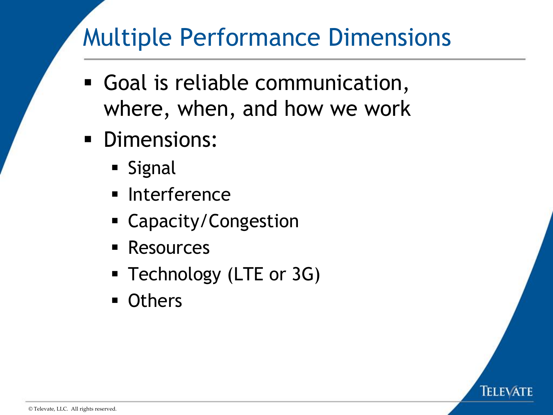#### Multiple Performance Dimensions

- Goal is reliable communication, where, when, and how we work
- Dimensions:
	- Signal
	- **·** Interference
	- Capacity/Congestion
	- Resources
	- **EXECUTE:** Technology (LTE or 3G)
	- Others

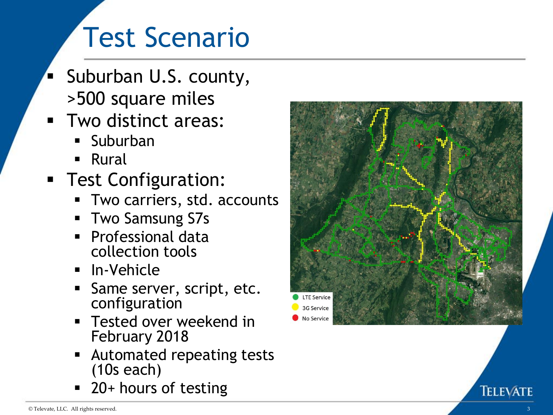## Test Scenario

- Suburban U.S. county, >500 square miles
- Two distinct areas:
	- Suburban
	- Rural
- Test Configuration:
	- Two carriers, std. accounts
	- **Two Samsung S7s**
	- **Professional data** collection tools
	- In -Vehicle
	- **E** Same server, script, etc. configuration
	- **EXECO OVER WEEKEND IN** February 2018
	- Automated repeating tests (10s each)
	- 20+ hours of testing

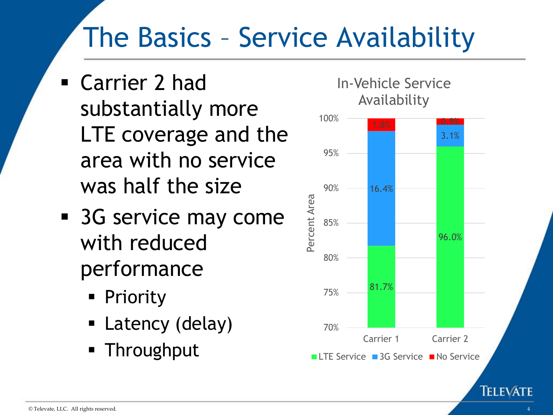### The Basics – Service Availability

- Carrier 2 had substantially more LTE coverage and the area with no service was half the size
- 3G service may come with reduced performance
	- **Priority**
	- **E** Latency (delay)
	- **E** Throughput



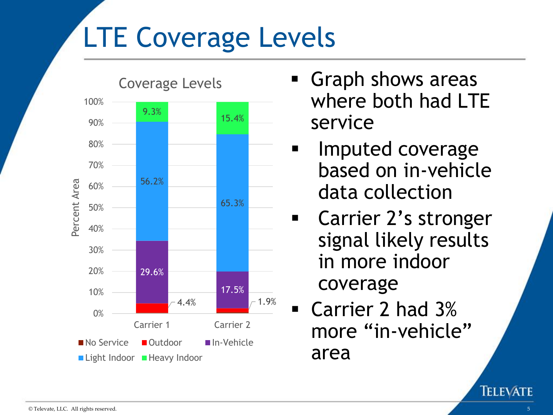# LTE Coverage Levels



- Graph shows areas where both had LTE service
- **EXEC** Imputed coverage based on in-vehicle data collection
- Carrier 2's stronger signal likely results in more indoor coverage
- Carrier 2 had 3% more "in-vehicle" area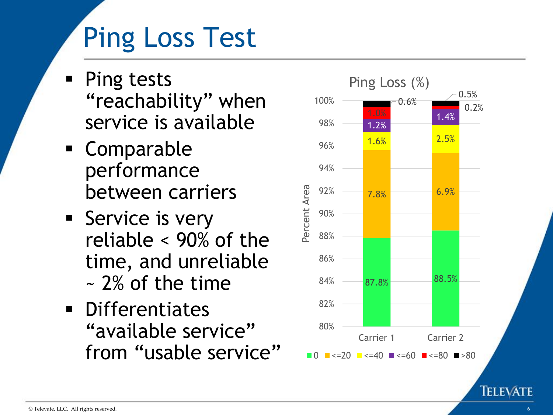## Ping Loss Test

- Ping tests "reachability" when service is available
- Comparable performance between carriers
- **E** Service is very reliable < 90% of the time, and unreliable ~ 2% of the time
- Differentiates "available service" from "usable service"

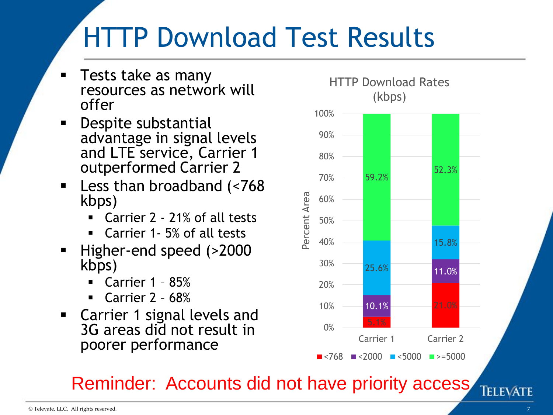# HTTP Download Test Results

- Tests take as many resources as network will offer
- Despite substantial advantage in signal levels and LTE service, Carrier 1 outperformed Carrier 2
- Less than broadband (<768 kbps)
	- Carrier 2 21% of all tests
	- Carrier 1-5% of all tests
- Higher-end speed (>2000 kbps)
	- **Carrier 1 85%**
	- Carrier  $2 68%$
- Carrier 1 signal levels and 3G areas did not result in poorer performance



#### Reminder: Accounts did not have priority access**TELEVATE**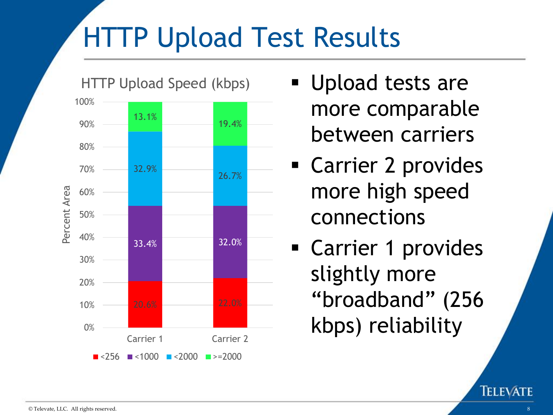# HTTP Upload Test Results



- Upload tests are more comparable between carriers
- Carrier 2 provides more high speed connections
- Carrier 1 provides slightly more "broadband" (256 kbps) reliability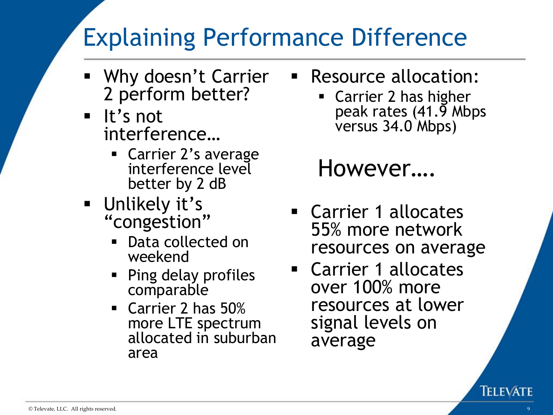#### Explaining Performance Difference

- **■** Why doesn't Carrier 2 perform better?
- It's not interference…
	- Carrier 2's average interference level better by 2 dB
- Unlikely it's "congestion"
	- Data collected on weekend
	- Ping delay profiles comparable
	- Carrier 2 has 50% more LTE spectrum allocated in suburban area
- Resource allocation:
	- **E** Carrier 2 has higher peak rates (41.9 Mbps versus 34.0 Mbps)

#### However….

- Carrier 1 allocates 55% more network resources on average
- Carrier 1 allocates over 100% more resources at lower signal levels on average